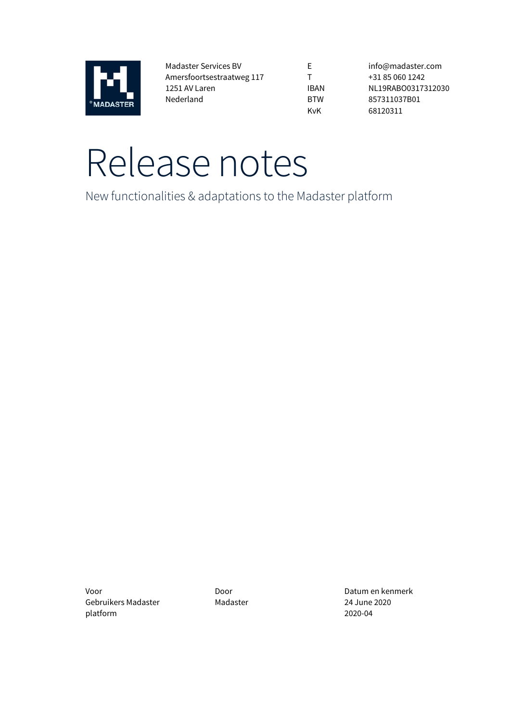

Madaster Services BV Amersfoortsestraatweg 117 1251 AV Laren Nederland

E T IBAN BTW KvK

info@madaster.com +31 85 060 1242 NL19RABO0317312030 857311037B01 68120311

# Release notes

New functionalities & adaptations to the Madaster platform

Voor Door Datum en kenmerk Gebruikers Madaster platform

Madaster 24 June 2020 2020-04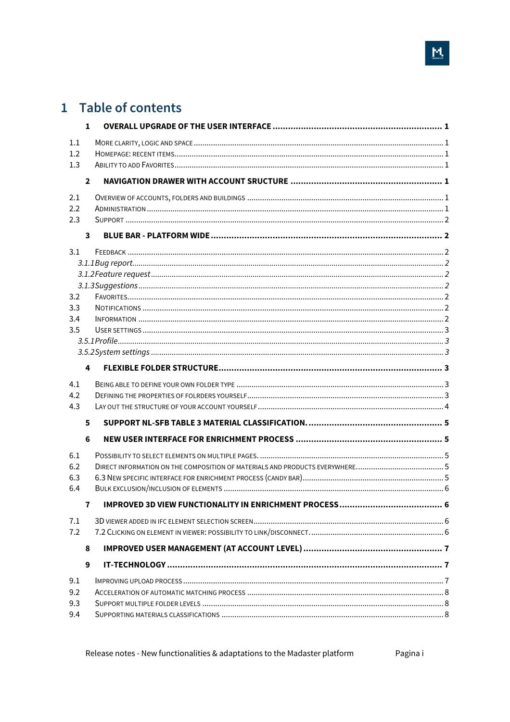# 1 Table of contents

|     | $\mathbf{1}$   |                                                                         |  |
|-----|----------------|-------------------------------------------------------------------------|--|
| 1.1 |                |                                                                         |  |
| 1.2 |                |                                                                         |  |
| 1.3 |                |                                                                         |  |
|     | $\overline{2}$ |                                                                         |  |
| 2.1 |                |                                                                         |  |
| 2.2 |                |                                                                         |  |
| 2.3 |                |                                                                         |  |
|     | 3              |                                                                         |  |
| 3.1 |                |                                                                         |  |
|     |                |                                                                         |  |
|     |                |                                                                         |  |
|     |                |                                                                         |  |
| 3.2 |                |                                                                         |  |
| 3.3 |                |                                                                         |  |
| 3.4 |                |                                                                         |  |
| 3.5 |                |                                                                         |  |
|     |                |                                                                         |  |
|     |                |                                                                         |  |
|     | 4              |                                                                         |  |
| 4.1 |                |                                                                         |  |
| 4.2 |                |                                                                         |  |
| 4.3 |                |                                                                         |  |
|     | 5              |                                                                         |  |
|     | 6              |                                                                         |  |
| 6.1 |                |                                                                         |  |
| 6.2 |                |                                                                         |  |
| 6.3 |                |                                                                         |  |
| 6.4 |                |                                                                         |  |
|     | $\mathbf{7}$   | <b>IMPROVED 3D VIEW FUNCTIONALITY IN ENRICHMENT PROCESS</b><br>$\sim$ 6 |  |
| 7.1 |                |                                                                         |  |
| 7.2 |                |                                                                         |  |
|     | 8              |                                                                         |  |
|     | 9              |                                                                         |  |
| 9.1 |                |                                                                         |  |
| 9.2 |                |                                                                         |  |
| 9.3 |                |                                                                         |  |
| 9.4 |                |                                                                         |  |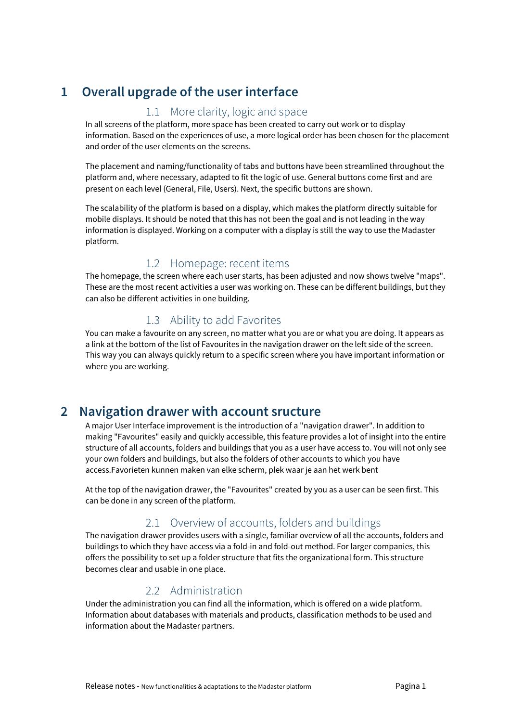# **1 Overall upgrade of the user interface**

# 1.1 More clarity, logic and space

In all screens of the platform, more space has been created to carry out work or to display information. Based on the experiences of use, a more logical order has been chosen for the placement and order of the user elements on the screens.

The placement and naming/functionality of tabs and buttons have been streamlined throughout the platform and, where necessary, adapted to fit the logic of use. General buttons come first and are present on each level (General, File, Users). Next, the specific buttons are shown.

The scalability of the platform is based on a display, which makes the platform directly suitable for mobile displays. It should be noted that this has not been the goal and is not leading in the way information is displayed. Working on a computer with a display is still the way to use the Madaster platform.

# 1.2 Homepage: recent items

The homepage, the screen where each user starts, has been adjusted and now shows twelve "maps". These are the most recent activities a user was working on. These can be different buildings, but they can also be different activities in one building.

# 1.3 Ability to add Favorites

You can make a favourite on any screen, no matter what you are or what you are doing. It appears as a link at the bottom of the list of Favourites in the navigation drawer on the left side of the screen. This way you can always quickly return to a specific screen where you have important information or where you are working.

# **2 Navigation drawer with account sructure**

A major User Interface improvement is the introduction of a "navigation drawer". In addition to making "Favourites" easily and quickly accessible, this feature provides a lot of insight into the entire structure of all accounts, folders and buildings that you as a user have access to. You will not only see your own folders and buildings, but also the folders of other accounts to which you have access.Favorieten kunnen maken van elke scherm, plek waar je aan het werk bent

At the top of the navigation drawer, the "Favourites" created by you as a user can be seen first. This can be done in any screen of the platform.

## 2.1 Overview of accounts, folders and buildings

The navigation drawer provides users with a single, familiar overview of all the accounts, folders and buildings to which they have access via a fold-in and fold-out method. For larger companies, this offers the possibility to set up a folder structure that fits the organizational form. This structure becomes clear and usable in one place.

# 2.2 Administration

Under the administration you can find all the information, which is offered on a wide platform. Information about databases with materials and products, classification methods to be used and information about the Madaster partners.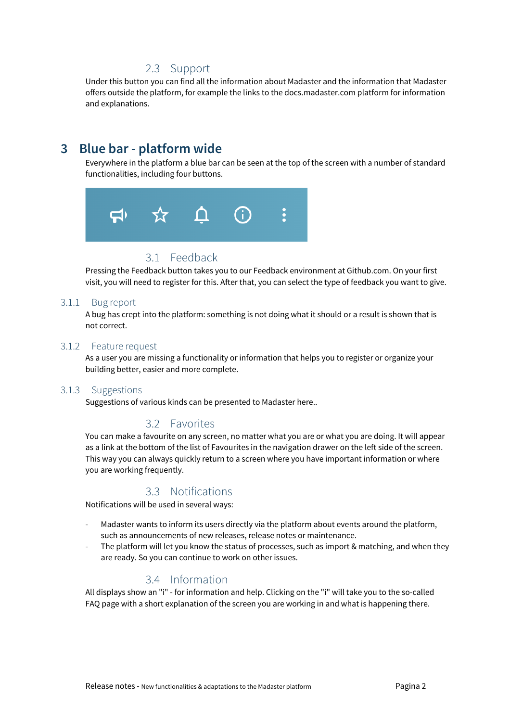## 2.3 Support

Under this button you can find all the information about Madaster and the information that Madaster offers outside the platform, for example the links to the docs.madaster.com platform for information and explanations.

# **3 Blue bar - platform wide**

Everywhere in the platform a blue bar can be seen at the top of the screen with a number of standard functionalities, including four buttons.



## 3.1 Feedback

Pressing the Feedback button takes you to our Feedback environment at Github.com. On your first visit, you will need to register for this. After that, you can select the type of feedback you want to give.

#### 3.1.1 Bug report

A bug has crept into the platform: something is not doing what it should or a result is shown that is not correct.

#### 3.1.2 Feature request

As a user you are missing a functionality or information that helps you to register or organize your building better, easier and more complete.

#### 3.1.3 Suggestions

Suggestions of various kinds can be presented to Madaster here..

### 3.2 Favorites

You can make a favourite on any screen, no matter what you are or what you are doing. It will appear as a link at the bottom of the list of Favourites in the navigation drawer on the left side of the screen. This way you can always quickly return to a screen where you have important information or where you are working frequently.

### 3.3 Notifications

Notifications will be used in several ways:

- Madaster wants to inform its users directly via the platform about events around the platform, such as announcements of new releases, release notes or maintenance.
- The platform will let you know the status of processes, such as import & matching, and when they are ready. So you can continue to work on other issues.

## 3.4 Information

All displays show an "i" - for information and help. Clicking on the "i" will take you to the so-called FAQ page with a short explanation of the screen you are working in and what is happening there.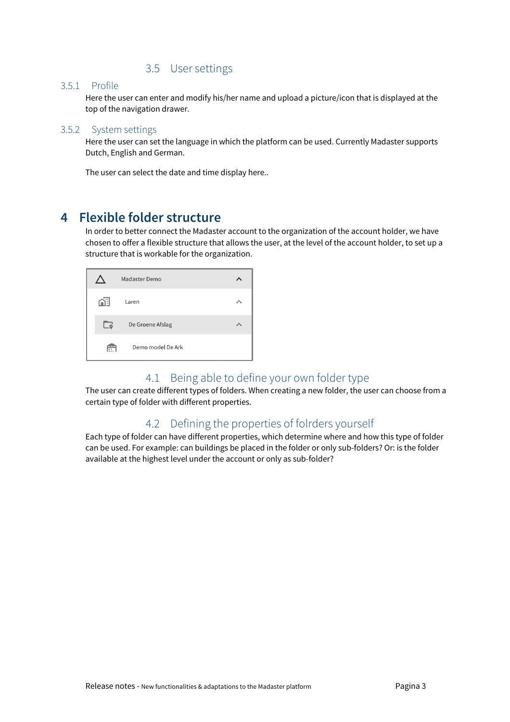## 3.5 User settings

#### 3.5.1 Profile

Here the user can enter and modify his/her name and upload a picture/icon that is displayed at the top of the navigation drawer.

#### 3.5.2 System settings

Here the user can set the language in which the platform can be used. Currently Madaster supports Dutch, English and German.

The user can select the date and time display here..

# **4 Flexible folder structure**

In order to better connect the Madaster account to the organization of the account holder, we have chosen to offer a flexible structure that allows the user, at the level of the account holder, to set up a structure that is workable for the organization.

|     | Madaster Demo     |  |
|-----|-------------------|--|
| ∩∺l | Laren             |  |
| ം   | De Groene Afslag  |  |
| ÷   | Demo model De Ark |  |

### 4.1 Being able to define your own folder type

The user can create different types of folders. When creating a new folder, the user can choose from a certain type of folder with different properties.

## 4.2 Defining the properties of folrders yourself

Each type of folder can have different properties, which determine where and how this type of folder can be used. For example: can buildings be placed in the folder or only sub-folders? Or: is the folder available at the highest level under the account or only as sub-folder?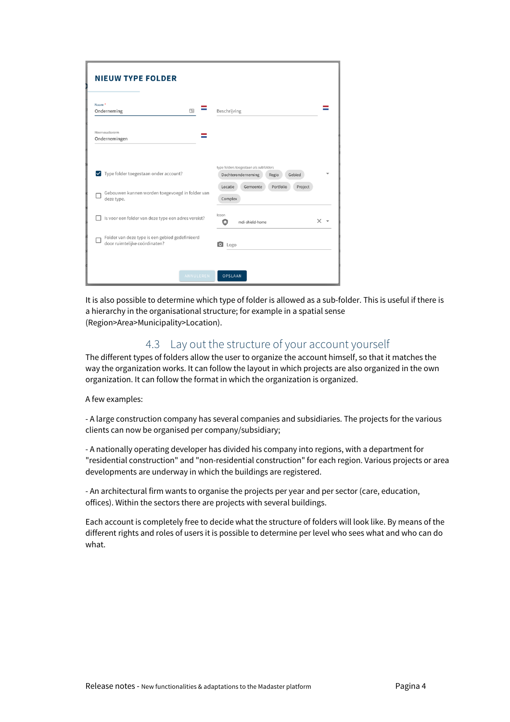| <b>NIEUW TYPE FOLDER</b><br>Naam <sup>*</sup><br>Onderneming                                             | Beschrijving                                                                                                                              |
|----------------------------------------------------------------------------------------------------------|-------------------------------------------------------------------------------------------------------------------------------------------|
| Meervoudsvorm<br>Ondernemingen                                                                           |                                                                                                                                           |
| V Type folder toegestaan onder account?<br>Gebouwen kunnen worden toegevoegd in folder van<br>deze type. | type folders toegestaan als subfolders<br>Gebied<br>Dochteronderneming<br>Regio<br>Portfolio<br>Locatie<br>Gemeente<br>Project<br>Complex |
| Is voor een folder van deze type een adres vereist?                                                      | Icoon<br>×<br>mdi-shield-home<br>Ω                                                                                                        |
| Folder van deze type is een gebied gedefinieerd<br>door ruimtelijke coördinaten?                         | O Logo                                                                                                                                    |
| ANNULEREN                                                                                                | <b>OPSLAAN</b>                                                                                                                            |

It is also possible to determine which type of folder is allowed as a sub-folder. This is useful if there is a hierarchy in the organisational structure; for example in a spatial sense (Region>Area>Municipality>Location).

## 4.3 Lay out the structure of your account yourself

The different types of folders allow the user to organize the account himself, so that it matches the way the organization works. It can follow the layout in which projects are also organized in the own organization. It can follow the format in which the organization is organized.

A few examples:

- A large construction company has several companies and subsidiaries. The projects for the various clients can now be organised per company/subsidiary;

- A nationally operating developer has divided his company into regions, with a department for "residential construction" and "non-residential construction" for each region. Various projects or area developments are underway in which the buildings are registered.

- An architectural firm wants to organise the projects per year and per sector (care, education, offices). Within the sectors there are projects with several buildings.

Each account is completely free to decide what the structure of folders will look like. By means of the different rights and roles of users it is possible to determine per level who sees what and who can do what.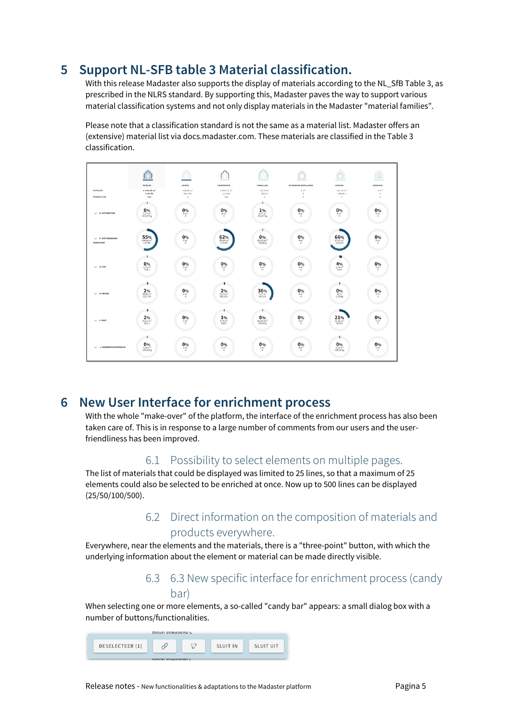# **5 Support NL-SFB table 3 Material classification.**

With this release Madaster also supports the display of materials according to the NL SfB Table 3, as prescribed in the NLRS standard. By supporting this, Madaster paves the way to support various material classification systems and not only display materials in the Madaster "material families".

Please note that a classification standard is not the same as a material list. Madaster offers an (extensive) material list via docs.madaster.com. These materials are classified in the Table 3 classification.



# **6 New User Interface for enrichment process**

With the whole "make-over" of the platform, the interface of the enrichment process has also been taken care of. This is in response to a large number of comments from our users and the userfriendliness has been improved.

## 6.1 Possibility to select elements on multiple pages.

The list of materials that could be displayed was limited to 25 lines, so that a maximum of 25 elements could also be selected to be enriched at once. Now up to 500 lines can be displayed (25/50/100/500).

# 6.2 Direct information on the composition of materials and products everywhere.

Everywhere, near the elements and the materials, there is a "three-point" button, with which the underlying information about the element or material can be made directly visible.

# 6.3 6.3 New specific interface for enrichment process (candy bar)

When selecting one or more elements, a so-called "candy bar" appears: a small dialog box with a number of buttons/functionalities.

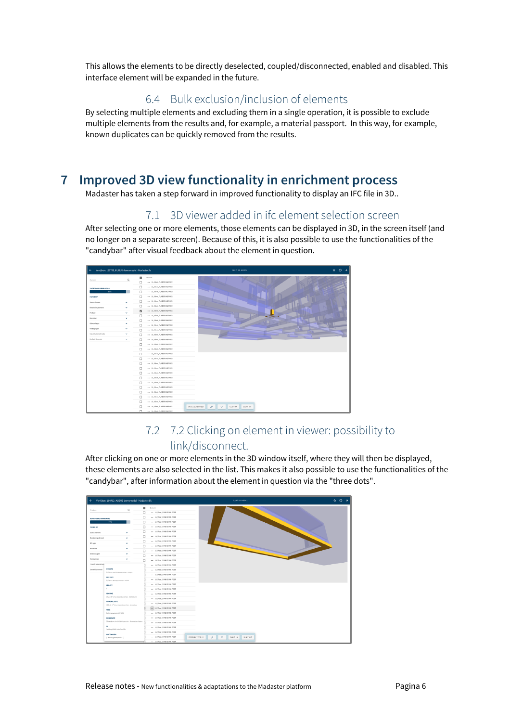This allows the elements to be directly deselected, coupled/disconnected, enabled and disabled. This interface element will be expanded in the future.

# 6.4 Bulk exclusion/inclusion of elements

By selecting multiple elements and excluding them in a single operation, it is possible to exclude multiple elements from the results and, for example, a material passport. In this way, for example, known duplicates can be quickly removed from the results.

# **7 Improved 3D view functionality in enrichment process**

Madaster has taken a step forward in improved functionality to display an IFC file in 3D..

# 7.1 3D viewer added in ifc element selection screen

After selecting one or more elements, those elements can be displayed in 3D, in the screen itself (and no longer on a separate screen). Because of this, it is also possible to use the functionalities of the "candybar" after visual feedback about the element in question.

| Verrijken: 180703_KUBUS demomodel - Madaster.ifc<br>$\epsilon$ |              |                |                                                     | SLUIT 3D-MODEL                                                 | $\uparrow$ 0 $\rightarrow$ |
|----------------------------------------------------------------|--------------|----------------|-----------------------------------------------------|----------------------------------------------------------------|----------------------------|
|                                                                |              | ٠              | Element                                             |                                                                |                            |
| Zoeken                                                         | $\alpha$     | □              | 16 Vicer FUNDERING POER                             |                                                                |                            |
| VOORTGANS VERRIJKINS                                           |              | □              | --- 16_Viper_FUNDERING POER                         |                                                                |                            |
| $\overline{30\%}$                                              |              | $\Box$         | 35_Viser_FUNDERING POER                             |                                                                |                            |
| FILTER CP                                                      |              | □              | 16_Vioer_FUNDERING POER                             |                                                                |                            |
| Status element                                                 | $\checkmark$ | $\Box$         | --- 16_Viner_FUNDERING PDER                         |                                                                |                            |
| Berekening element                                             | $\checkmark$ | $\Box$         | 35_Vieer_FUNDERING POER                             |                                                                |                            |
| IFC-type                                                       | v            | $\overline{a}$ | 36_Vioer_FUNDERING POER                             |                                                                |                            |
| Bouwfase                                                       | <b>M</b>     | □              | --- 16_Viper_FUNDERING POER                         |                                                                |                            |
| Gebouwlagen                                                    | $\checkmark$ | Ω              | 16_Viper_FUNDERING POER                             |                                                                |                            |
|                                                                |              | □              | *** 16_Viper_FUNDERING POER                         |                                                                |                            |
| Verdiepingen                                                   | $\checkmark$ | $\Box$         | --- 16_Viper_FUNDERING POER                         |                                                                |                            |
| Classificatienethodes                                          | $\checkmark$ | $\Box$         | 35. Viser, FUNDERING POER                           |                                                                |                            |
| <b>Eenheid dimensie</b>                                        | $\checkmark$ | $\Box$         | --- 16_Vioer_FUNDERING PDER                         |                                                                |                            |
|                                                                |              | $\Box$         | --- 16_Vioer_FUNDERING POER                         |                                                                |                            |
|                                                                |              | $\Box$         | 16_Vieer_FUNDERING POER                             |                                                                |                            |
|                                                                |              | $\Box$         | 16 Vioer FUNDERING POER                             |                                                                |                            |
|                                                                |              | □              | --- 16_Viper_FUNDERING POER                         |                                                                |                            |
|                                                                |              | □              | 16_Viper_FUNDERING POER                             |                                                                |                            |
|                                                                |              | $\Box$         | *** 16_Viper_FUNDERING POER                         |                                                                |                            |
|                                                                |              | □              | --- 16_Vioer_FUNDERING POER                         |                                                                |                            |
|                                                                |              | Ω              | 35_Viser_FUNDERING POER                             |                                                                |                            |
|                                                                |              | □              | 36_Vieer_FUNDERING POER                             |                                                                |                            |
|                                                                |              | $\Box$         | --- 16_Vioer_FUNDERING PDER                         |                                                                |                            |
|                                                                |              | □              | 16_Viner_FUNDERING POER                             |                                                                |                            |
|                                                                |              | □              | 16_Vioer_FUNDERING POER                             |                                                                |                            |
|                                                                |              | □              | --- 16_Viper_FUNDERING POER                         |                                                                |                            |
|                                                                |              | □<br>n         | 16_Viper_FUNDERING POER<br>16 Viser, FUNDERING POER | 0<br>$\mathcal{O}$<br>DESELECTEER (1)<br>SLUIT IN<br>SLUIT UIT |                            |

# 7.2 7.2 Clicking on element in viewer: possibility to link/disconnect.

After clicking on one or more elements in the 3D window itself, where they will then be displayed, these elements are also selected in the list. This makes it also possible to use the functionalities of the "candybar", after information about the element in question via the "three dots".

|                         | Verrijken: 180703_KUBUS demomodel - Madaster.ifc                |              |        |                             | SLUIT 3D-MODEL                                      | $\land$ 0 $\rightarrow$ |
|-------------------------|-----------------------------------------------------------------|--------------|--------|-----------------------------|-----------------------------------------------------|-------------------------|
|                         |                                                                 | $\alpha$     | ۰      | Element                     |                                                     |                         |
| Zoeken                  |                                                                 |              | $\Box$ | *** 16_Vioer_FUNDERING POER |                                                     |                         |
| VOORTGANS VERRUKINS     |                                                                 |              | $\Box$ | -- 16_Vioer_FUNDERING POER  |                                                     |                         |
|                         | 90%                                                             |              | $\Box$ | -- 16_Vioer_FUNDERING POER  |                                                     |                         |
| <b>FILTER CO</b>        |                                                                 |              | Ω      | 16_Vioer_FUNDERING POER     |                                                     |                         |
| Status element          |                                                                 | v            | $\Box$ | 16_Vioer_FUNDERING POER     |                                                     |                         |
| Berskaning element      |                                                                 | $\sim$       | $\Box$ | -- 16_Vioer_FUNDERING POER  |                                                     |                         |
| IFC type                |                                                                 | $\checkmark$ | $\Box$ | --- 16_Vioer_FUNDERING POER |                                                     |                         |
| Bouwfase                |                                                                 | $\mathbf{v}$ | □      | 16_Vioer_FUNDERING POER     |                                                     |                         |
|                         |                                                                 | v            | □      | 16_Vioer_FUNDERING POER     |                                                     |                         |
| Gebouwlagen             |                                                                 |              | $\Box$ | --- 16_Woer_FUNDERING POER  |                                                     |                         |
| Verdiepingen            |                                                                 | $\checkmark$ | о      | 16. Vioer, FUNDERING POER   |                                                     |                         |
| Classificationethods    |                                                                 |              |        | 16_Vioer_FUNDERING POER     |                                                     |                         |
| <b>Eenheid dimensie</b> | HOOGTE<br>0.5 Bron: ArchiCADQuantities - Neight                 |              |        | 16_Vioer_FUNDERING POER     |                                                     |                         |
|                         | BREEDTE                                                         |              |        | -- 16_Vioer_FUNDERING POER  |                                                     |                         |
|                         | 0,5 dress dasaQuantibles - Width                                |              |        | 16_Vioer_FUNDERING POER     |                                                     |                         |
|                         | LENGTE                                                          |              |        | 16_Vioer_FUNDERING POER     |                                                     |                         |
|                         | $\circ$                                                         |              |        | --- 16_Vioer_FUNDERING POER |                                                     |                         |
|                         | VOLUME<br>17,63 m <sup>3</sup> Brox: BaseQuantities - Nettolume |              |        | -- 16_Viorr_FUNDERING POER  |                                                     |                         |
|                         | COPERVLAKTE                                                     |              |        | -- 16_Vioer_FUNDERING PDER  |                                                     |                         |
|                         | 166.36 m <sup>2</sup> Bron: BaseQuantities - Grounkeep          |              |        | 16_Vioer_FUNDERING POER     |                                                     |                         |
|                         | <b>TYPE</b>                                                     |              |        | 16 Vioer_FUNDERING POER     |                                                     |                         |
|                         | Beton gewapend C 500                                            |              |        | -- 16_Vioer_FUNDERING POER  |                                                     |                         |
|                         | <b>BOUWFASE</b>                                                 |              |        | 16_Vioer_FUNDERING POER     |                                                     |                         |
|                         | Sloop Jiron: ArchiCADProperties - Renavation Status             |              |        | 16_Vioer_FUNDERING POER     |                                                     |                         |
|                         | Đ<br>2eVdeig8SIEUvdvDws2Eh                                      |              |        | -- 16_Viorr_FUNDERING POER  |                                                     |                         |
|                         | <b>MATERIALEN</b>                                               |              |        | -- 16_Viorr_FUNDERNG POER   |                                                     |                         |
|                         | ["Beton gewapend C"]                                            |              |        | 16_Vioer_FUNDERING POER     | 52<br>DESELECTEER (1)<br>0<br>SLUIT IN<br>SLUIT UIT |                         |
|                         |                                                                 |              | ÷      | 16_Viorr_FUNDERING POER     |                                                     |                         |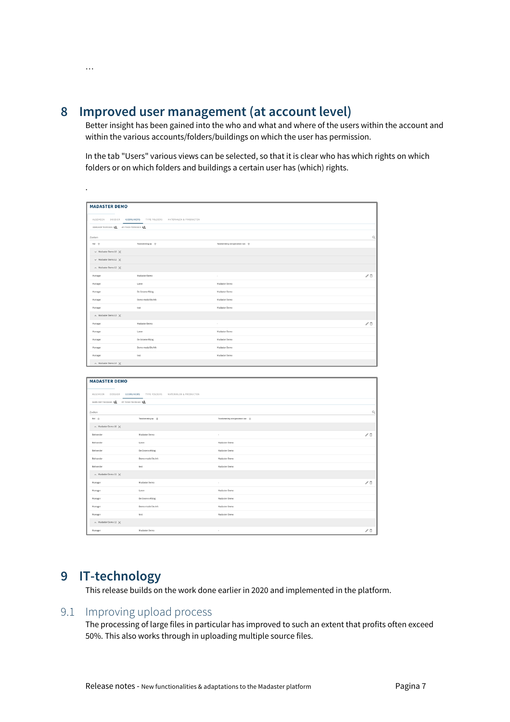**8 Improved user management (at account level)**

…

.

Better insight has been gained into the who and what and where of the users within the account and within the various accounts/folders/buildings on which the user has permission.

In the tab "Users" various views can be selected, so that it is clear who has which rights on which folders or on which folders and buildings a certain user has (which) rights.

| <b>MADASTER DEMO</b>                             |                                                       |                               |                               |  |  |  |
|--------------------------------------------------|-------------------------------------------------------|-------------------------------|-------------------------------|--|--|--|
| ALGEMEEN<br>DOSSIER                              | <b>GEBRUIKERS</b> TYPE FOLDERS MATERIALEN & PRODUCTEN |                               |                               |  |  |  |
| 6EBRUIKER TOEVOEGEN +8<br>API TOKEN TOEVOEGEN +2 |                                                       |                               |                               |  |  |  |
| Zoeken                                           |                                                       |                               | $\alpha$                      |  |  |  |
| Rel +                                            | Toestemming op +                                      | Toestemming overgenomen van - |                               |  |  |  |
| $\vee$ Madaster Demo 10 $\times$                 |                                                       |                               |                               |  |  |  |
| $\vee$ Madaster Demo 11 $\times$                 |                                                       |                               |                               |  |  |  |
| A Madaster Demo 12 X                             |                                                       |                               |                               |  |  |  |
| Manager                                          | Madaster Demo                                         | $\sim$                        | $\angle$ 0                    |  |  |  |
| Manager                                          | Laren                                                 | Madaster Demo                 |                               |  |  |  |
| Manager                                          | De Groene Afslag                                      | Madaster Demo                 |                               |  |  |  |
| Manager                                          | Demo model De Ark                                     | Madaster Demo                 |                               |  |  |  |
| Manager                                          | test                                                  | Madaster Demo                 |                               |  |  |  |
| $\land$ Madaster Demo 13 $\times$                |                                                       |                               |                               |  |  |  |
| Manager                                          | Madaster Demo                                         | $\sim$                        | $\mathcal{N}$ $\bar{\square}$ |  |  |  |
| Manager                                          | Laren                                                 | Madaster Demo                 |                               |  |  |  |
| Manager                                          | De Groene Afslag                                      | Madaster Demo                 |                               |  |  |  |
| Manager                                          | Demo model De Ark                                     | Madaster Demo                 |                               |  |  |  |
| Manager                                          | test                                                  | Madaster Demo                 |                               |  |  |  |
| A Madaster Demo 14 X                             |                                                       |                               |                               |  |  |  |

| <b>MADASTER DEMO</b>                        |                                                                 |                                 |                                 |  |  |  |  |  |  |
|---------------------------------------------|-----------------------------------------------------------------|---------------------------------|---------------------------------|--|--|--|--|--|--|
|                                             |                                                                 |                                 |                                 |  |  |  |  |  |  |
|                                             | ALGEMEEN DOSSIER GEBRUIKERS TYPE FOLDERS MATERIALEN & PRODUCTEN |                                 |                                 |  |  |  |  |  |  |
| GEBRUIKER TOEVOEGEN +2 MITOKEN TOEVOEGEN +2 |                                                                 |                                 |                                 |  |  |  |  |  |  |
| Zoeken                                      |                                                                 |                                 | $\alpha$                        |  |  |  |  |  |  |
| $Rot +$                                     | Toestemming op +                                                | Toestemming overgenomen van $+$ |                                 |  |  |  |  |  |  |
| $\land$ Madaster Demo 10 $\times$           |                                                                 |                                 |                                 |  |  |  |  |  |  |
| Beheerder                                   | Madaster Demo                                                   | $\sim$                          | $\mathcal{O}$                   |  |  |  |  |  |  |
| Beheerder                                   | Laren                                                           | Madaster Demo                   |                                 |  |  |  |  |  |  |
| Beheerder                                   | De Groene Afslag                                                | Madaster Demo                   |                                 |  |  |  |  |  |  |
| Beheerder                                   | Demo model De Ark                                               | Madaster Demo                   |                                 |  |  |  |  |  |  |
| Beheerder                                   | test                                                            | Madaster Demo                   |                                 |  |  |  |  |  |  |
| $\land$ Madaster Demo 11 $\times$           |                                                                 |                                 |                                 |  |  |  |  |  |  |
| Manager                                     | Madaster Demo                                                   | ×.                              | $\mathcal{O} \ \bar{\Box}$      |  |  |  |  |  |  |
| Manager                                     | Laren                                                           | Madaster Demo                   |                                 |  |  |  |  |  |  |
| Manager                                     | De Groene Afslag                                                | Madaster Demo                   |                                 |  |  |  |  |  |  |
| Manager                                     | Demo model De Ark                                               | Madaster Demo                   |                                 |  |  |  |  |  |  |
| Manager                                     | test                                                            | Madaster Demo                   |                                 |  |  |  |  |  |  |
| A Madaster Demo 12 X                        |                                                                 |                                 |                                 |  |  |  |  |  |  |
| Manager                                     | Madaster Demo                                                   | $\sim$                          | $\mathcal{E} \ \overline{\Box}$ |  |  |  |  |  |  |

# **9 IT-technology**

This release builds on the work done earlier in 2020 and implemented in the platform.

#### 9.1 Improving upload process

The processing of large files in particular has improved to such an extent that profits often exceed 50%. This also works through in uploading multiple source files.